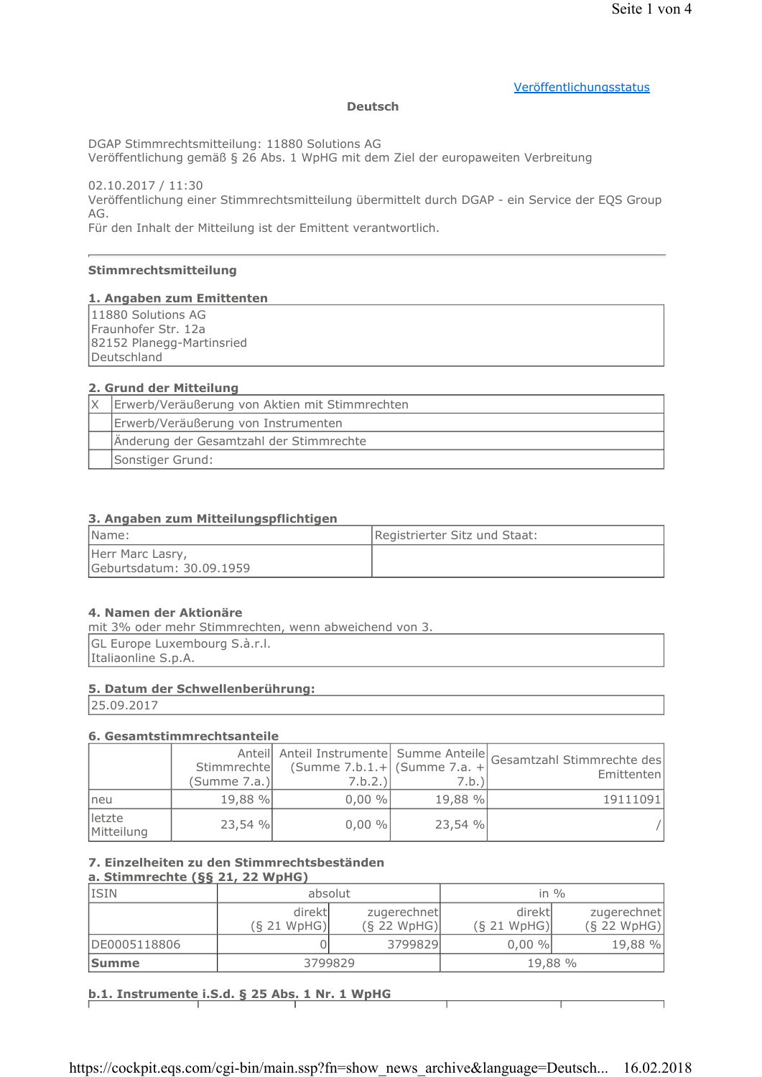# Veröffentlichungsstatus

#### **Deutsch**

DGAP Stimmrechtsmitteilung: 11880 Solutions AG

Veröffentlichung gemäß § 26 Abs. 1 WpHG mit dem Ziel der europaweiten Verbreitung

02.10.2017 / 11:30 Veröffentlichung einer Stimmrechtsmitteilung übermittelt durch DGAP - ein Service der EQS Group AG.

Für den Inhalt der Mitteilung ist der Emittent verantwortlich.

# Stimmrechtsmitteilung

#### 1. Angaben zum Emittenten

11880 Solutions AG Fraunhofer Str. 12a 82152 Planegg-Martinsried Deutschland

# 2. Grund der Mitteilung

| Erwerb/Veräußerung von Aktien mit Stimmrechten |  |
|------------------------------------------------|--|
| Erwerb/Veräußerung von Instrumenten            |  |
| Änderung der Gesamtzahl der Stimmrechte        |  |
| Sonstiger Grund:                               |  |

# 3. Angaben zum Mitteilungspflichtigen

| Name:                                        | Registrierter Sitz und Staat: |
|----------------------------------------------|-------------------------------|
| Herr Marc Lasry,<br>Geburtsdatum: 30.09.1959 |                               |

#### 4. Namen der Aktionäre

mit 3% oder mehr Stimmrechten, wenn abweichend von 3. GL Europe Luxembourg S.à.r.l. Italiaonline S.p.A.

# 5. Datum der Schwellenberührung:

25.09.2017

#### 6. Gesamtstimmrechtsanteile

|                      | Stimmrechte<br>(Summe 7.a.) | (Summe 7.b.1.+   (Summe 7.a. +<br>7.b.2.) | 7.b.)   | Anteil Anteil Instrumente Summe Anteile Gesamtzahl Stimmrechte des<br>Emittenten |
|----------------------|-----------------------------|-------------------------------------------|---------|----------------------------------------------------------------------------------|
| Ineu                 | 19,88 %                     | $0,00\%$                                  | 19,88 % | 19111091                                                                         |
| letzte<br>Mitteilung | 23.54%                      | $0,00\%$                                  | 23,54 % |                                                                                  |

# 7. Einzelheiten zu den Stimmrechtsbeständen

# a. Stimmrechte (§§ 21, 22 WpHG)

| <b>ISIN</b>  | absolut     |               | in $\%$       |               |
|--------------|-------------|---------------|---------------|---------------|
|              | direktl     | zugerechnet   | direktl       | zugerechnet   |
|              | (S 21 WpHG) | $(S$ 22 WpHG) | $(S$ 21 WpHG) | $(S$ 22 WpHG) |
| DE0005118806 |             | 3799829       | $0,00\%$      | 19,88 %       |
| <b>Summe</b> | 3799829     |               | 19,88 %       |               |

# b.1. Instrumente i.S.d. § 25 Abs. 1 Nr. 1 WpHG

https://cockpit.eqs.com/cgi-bin/main.ssp?fn=show\_news\_archive&language=Deutsch... 16.02.2018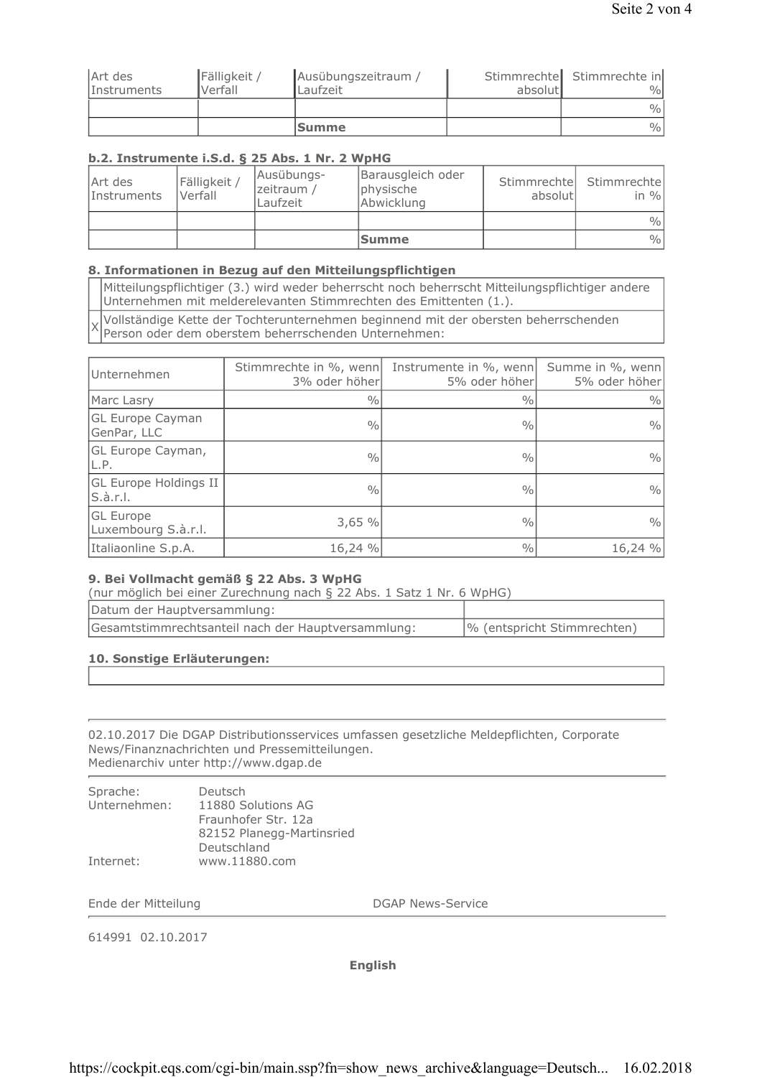|                    |              | <b>Summe</b>        |         | $\frac{0}{0}$              |
|--------------------|--------------|---------------------|---------|----------------------------|
|                    |              |                     |         | $\frac{0}{0}$              |
| <i>Instruments</i> | Verfall      | Laufzeit            | absolut | $\%$                       |
| Art des            | Fälligkeit / | Ausübungszeitraum / |         | Stimmrechte Stimmrechte in |

# b.2. Instrumente i.S.d. § 25 Abs. 1 Nr. 2 WpHG

| Art des<br><i>Instruments</i> | Fälligkeit /<br>Verfall | Ausübungs-<br>zeitraum /<br>Laufzeit | Barausgleich oder<br>physische<br>Abwicklung | absolutl | Stimmrechte Stimmrechte<br>in $\%$ |
|-------------------------------|-------------------------|--------------------------------------|----------------------------------------------|----------|------------------------------------|
|                               |                         |                                      |                                              |          | $\frac{0}{0}$                      |
|                               |                         |                                      | <b>Summe</b>                                 |          | $\frac{0}{0}$                      |

# 8. Informationen in Bezug auf den Mitteilungspflichtigen

Mitteilungspflichtiger (3.) wird weder beherrscht noch beherrscht Mitteilungspflichtiger andere Unternehmen mit melderelevanten Stimmrechten des Emittenten (1.).

Vollständige Kette der Tochterunternehmen beginnend mit der obersten beherrschenden  $\times$ Person oder dem oberstem beherrschenden Unternehmen:

| Unternehmen                             | Stimmrechte in %, wenn<br>3% oder höher | Instrumente in %, wenn<br>5% oder höher | Summe in %, wenn<br>5% oder höher |
|-----------------------------------------|-----------------------------------------|-----------------------------------------|-----------------------------------|
| Marc Lasry                              | $\frac{0}{0}$                           | $\frac{0}{0}$                           | $\frac{0}{0}$                     |
| <b>GL Europe Cayman</b><br>GenPar, LLC  | $\frac{0}{0}$                           | $\frac{0}{0}$                           | $\frac{0}{0}$                     |
| <b>GL Europe Cayman,</b><br>IL.P.       | $\frac{0}{0}$                           | $\frac{0}{0}$                           | $\frac{0}{0}$                     |
| GL Europe Holdings II<br>S.à.r.l.       | $\frac{0}{0}$                           | $\frac{0}{0}$                           | $\frac{0}{0}$                     |
| <b>GL</b> Europe<br>Luxembourg S.à.r.l. | 3,65%                                   | $\frac{0}{0}$                           | $\frac{0}{0}$                     |
| Italiaonline S.p.A.                     | 16,24 %                                 | $\frac{0}{0}$                           | 16,24 %                           |

# 9. Bei Vollmacht gemäß § 22 Abs. 3 WpHG

(nur möglich bei einer Zurechnung nach § 22 Abs. 1 Satz 1 Nr. 6 WpHG)

| Datum der Hauptversammlung:                        |                             |
|----------------------------------------------------|-----------------------------|
| Gesamtstimmrechtsanteil nach der Hauptversammlung: | % (entspricht Stimmrechten) |

#### 10. Sonstige Erläuterungen:

02.10.2017 Die DGAP Distributionsservices umfassen gesetzliche Meldepflichten, Corporate News/Finanznachrichten und Pressemitteilungen. Medienarchiv unter http://www.dgap.de

| Sprache:     | Deutsch                   |
|--------------|---------------------------|
| Unternehmen: | 11880 Solutions AG        |
|              | Fraunhofer Str. 12a       |
|              | 82152 Planegg-Martinsried |
|              | Deutschland               |
| Internet:    | www.11880.com             |

Ende der Mitteilung

**DGAP News-Service** 

614991 02.10.2017

**English**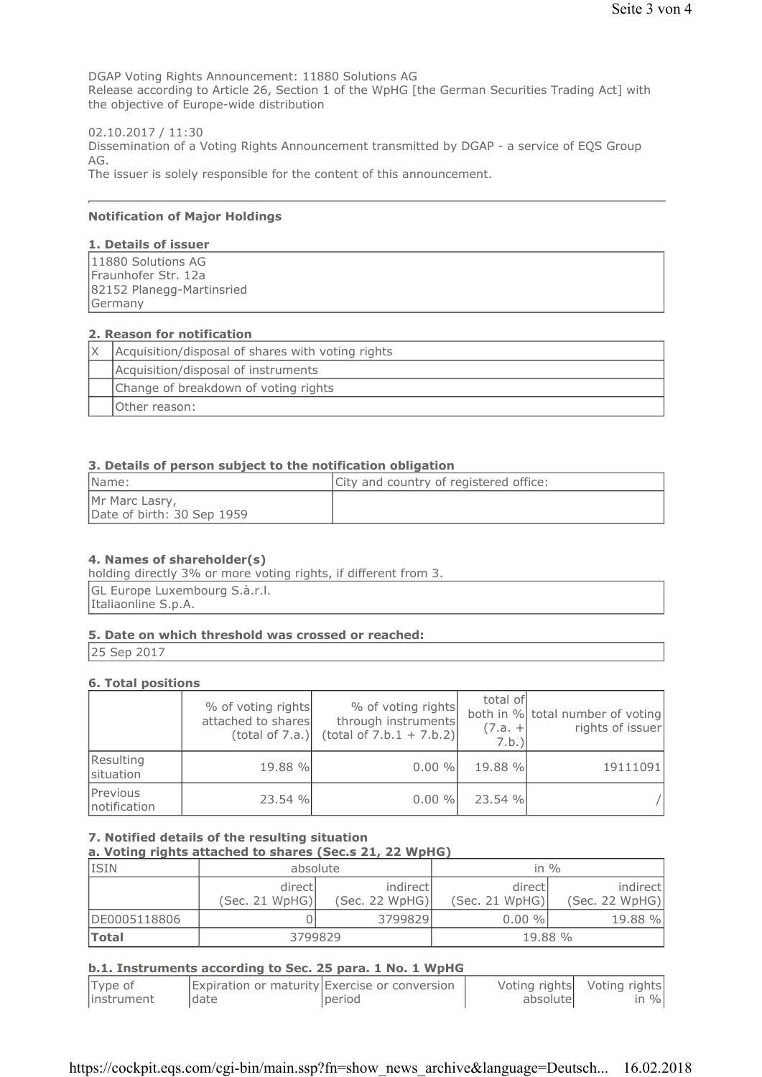DGAP Voting Rights Announcement: 11880 Solutions AG Release according to Article 26, Section 1 of the WpHG [the German Securities Trading Act] with the objective of Europe-wide distribution

02.10.2017 / 11:30 Dissemination of a Voting Rights Announcement transmitted by DGAP - a service of EQS Group AG. The issuer is solely responsible for the content of this announcement.

#### **Notification of Major Holdings**

# 1. Details of issuer

| 11880 Solutions AG        |  |
|---------------------------|--|
| Fraunhofer Str. 12a       |  |
| 82152 Planegg-Martinsried |  |
| Germany                   |  |

#### 2. Reason for notification

| Acquisition/disposal of shares with voting rights |  |
|---------------------------------------------------|--|
| Acquisition/disposal of instruments               |  |
| Change of breakdown of voting rights              |  |
| Other reason:                                     |  |

# 3. Details of person subiect to the notification obligation

| Name:                                        | City and country of registered office: |
|----------------------------------------------|----------------------------------------|
| Mr Marc Lasry,<br>Date of birth: 30 Sep 1959 |                                        |

#### 4. Names of shareholder(s)

holding directly 3% or more voting rights, if different from 3.

GL Europe Luxembourg S.à.r.l. Italiaonline S.p.A.

#### 5. Date on which threshold was crossed or reached:

25 Sep 2017

#### **6. Total positions**

|                          | % of voting rights<br>attached to shares<br>(total of 7.a.) | % of voting rights<br>through instruments<br>$(total of 7.b.1 + 7.b.2)$ | total of<br>$(7.a. +$<br>7.b. | both in % total number of voting<br>rights of issuer |
|--------------------------|-------------------------------------------------------------|-------------------------------------------------------------------------|-------------------------------|------------------------------------------------------|
| Resulting<br>situation   | 19.88 %                                                     | $0.00 \%$                                                               | 19.88 %                       | 19111091                                             |
| Previous<br>notification | 23.54 %                                                     | $0.00 \%$                                                               | 23.54 %                       |                                                      |

7. Notified details of the resulting situation

a. Voting rights attached to shares (Sec.s 21, 22 WpHG)

| <b>ISIN</b>  | absolute                  |                             | in $\%$                   |                            |
|--------------|---------------------------|-----------------------------|---------------------------|----------------------------|
|              | directl<br>(Sec. 21 WpHG) | indirectl<br>(Sec. 22 WpHG) | directl<br>(Sec. 21 WpHG) | indirect<br>(Sec. 22 WpHG) |
| DE0005118806 |                           | 3799829                     | $0.00 \%$                 | 19.88 %                    |
| <b>Total</b> | 3799829                   |                             | 19.88 %                   |                            |

#### b.1. Instruments according to Sec. 25 para. 1 No. 1 WpHG

| Type of     |       | Expiration or maturity Exercise or conversion |           | Voting rights Voting rights |
|-------------|-------|-----------------------------------------------|-----------|-----------------------------|
| linstrument | Idate | period                                        | absolutel | in $\%$                     |